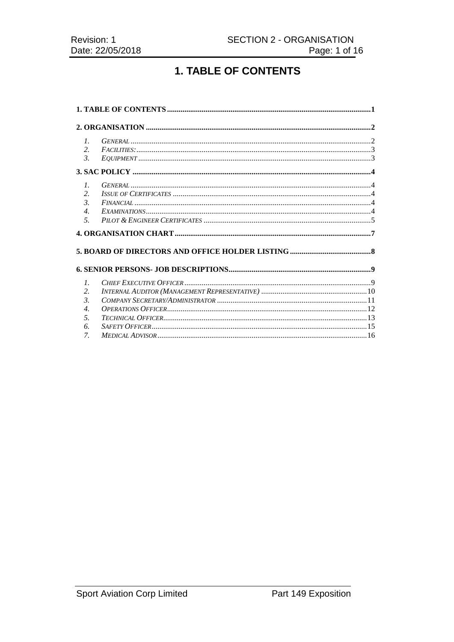# **1. TABLE OF CONTENTS**

| $\mathcal{I}$ .       |  |  |
|-----------------------|--|--|
| 2.                    |  |  |
| $\mathfrak{Z}$ .      |  |  |
|                       |  |  |
| $\mathcal{I}$ .       |  |  |
| 2.                    |  |  |
| $\mathcal{E}$         |  |  |
| $\mathcal{A}_{\cdot}$ |  |  |
| 5.                    |  |  |
|                       |  |  |
|                       |  |  |
|                       |  |  |
|                       |  |  |
| $\mathcal{I}$ .       |  |  |
| 2.                    |  |  |
| $\mathcal{E}$         |  |  |
| $\overline{4}$ .      |  |  |
| 5.                    |  |  |
| 6.                    |  |  |
| 7.                    |  |  |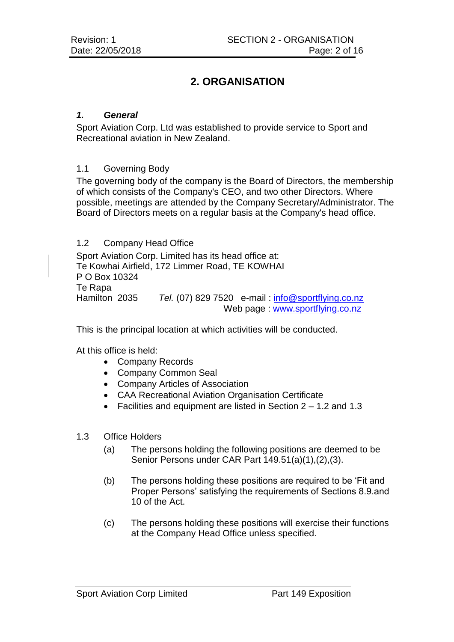# **2. ORGANISATION**

## *1. General*

Sport Aviation Corp. Ltd was established to provide service to Sport and Recreational aviation in New Zealand.

## 1.1 Governing Body

The governing body of the company is the Board of Directors, the membership of which consists of the Company's CEO, and two other Directors. Where possible, meetings are attended by the Company Secretary/Administrator. The Board of Directors meets on a regular basis at the Company's head office.

#### 1.2 Company Head Office

Sport Aviation Corp. Limited has its head office at: Te Kowhai Airfield, 172 Limmer Road, TE KOWHAI P O Box 10324 Te Rapa Hamilton 2035 *Tel.* (07) 829 7520 e-mail: [info@sportflying.co.nz](mailto:info@sportflying.co.nz) Web page : [www.sportflying.co.nz](http://www.sportflying.co.nz/)

This is the principal location at which activities will be conducted.

At this office is held:

- Company Records
- Company Common Seal
- Company Articles of Association
- CAA Recreational Aviation Organisation Certificate
- Facilities and equipment are listed in Section 2 1.2 and 1.3

## 1.3 Office Holders

- (a) The persons holding the following positions are deemed to be Senior Persons under CAR Part 149.51(a)(1),(2),(3).
- (b) The persons holding these positions are required to be 'Fit and Proper Persons' satisfying the requirements of Sections 8.9.and 10 of the Act.
- (c) The persons holding these positions will exercise their functions at the Company Head Office unless specified.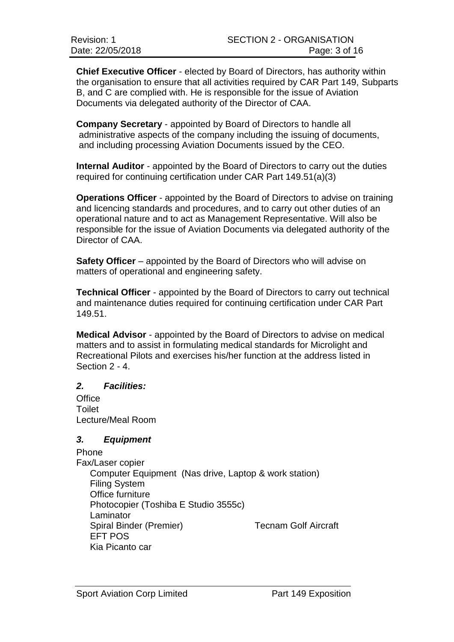**Chief Executive Officer** - elected by Board of Directors, has authority within the organisation to ensure that all activities required by CAR Part 149, Subparts B, and C are complied with. He is responsible for the issue of Aviation Documents via delegated authority of the Director of CAA.

**Company Secretary** - appointed by Board of Directors to handle all administrative aspects of the company including the issuing of documents, and including processing Aviation Documents issued by the CEO.

**Internal Auditor** - appointed by the Board of Directors to carry out the duties required for continuing certification under CAR Part 149.51(a)(3)

**Operations Officer** - appointed by the Board of Directors to advise on training and licencing standards and procedures, and to carry out other duties of an operational nature and to act as Management Representative. Will also be responsible for the issue of Aviation Documents via delegated authority of the Director of CAA.

**Safety Officer** – appointed by the Board of Directors who will advise on matters of operational and engineering safety.

**Technical Officer** - appointed by the Board of Directors to carry out technical and maintenance duties required for continuing certification under CAR Part 149.51.

**Medical Advisor** - appointed by the Board of Directors to advise on medical matters and to assist in formulating medical standards for Microlight and Recreational Pilots and exercises his/her function at the address listed in Section 2 - 4.

# *2. Facilities:*

**Office** Toilet Lecture/Meal Room

# *3. Equipment*

Phone Fax/Laser copier Computer Equipment (Nas drive, Laptop & work station) Filing System Office furniture Photocopier (Toshiba E Studio 3555c) Laminator Spiral Binder (Premier) Tecnam Golf Aircraft EFT POS Kia Picanto car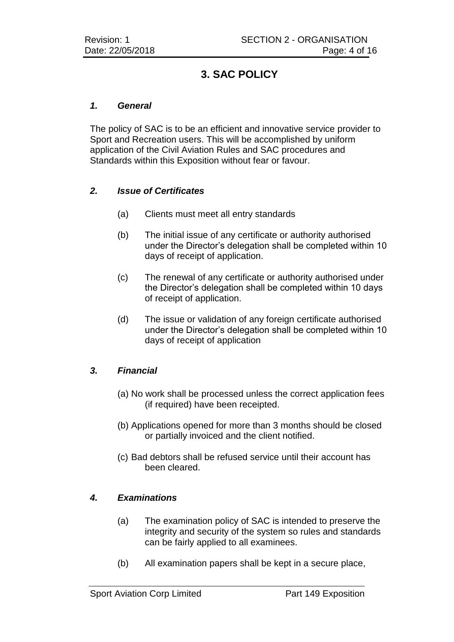# **3. SAC POLICY**

## *1. General*

The policy of SAC is to be an efficient and innovative service provider to Sport and Recreation users. This will be accomplished by uniform application of the Civil Aviation Rules and SAC procedures and Standards within this Exposition without fear or favour.

## *2. Issue of Certificates*

- (a) Clients must meet all entry standards
- (b) The initial issue of any certificate or authority authorised under the Director's delegation shall be completed within 10 days of receipt of application.
- (c) The renewal of any certificate or authority authorised under the Director's delegation shall be completed within 10 days of receipt of application.
- (d) The issue or validation of any foreign certificate authorised under the Director's delegation shall be completed within 10 days of receipt of application

# *3. Financial*

- (a) No work shall be processed unless the correct application fees (if required) have been receipted.
- (b) Applications opened for more than 3 months should be closed or partially invoiced and the client notified.
- (c) Bad debtors shall be refused service until their account has been cleared.

# *4. Examinations*

- (a) The examination policy of SAC is intended to preserve the integrity and security of the system so rules and standards can be fairly applied to all examinees.
- (b) All examination papers shall be kept in a secure place,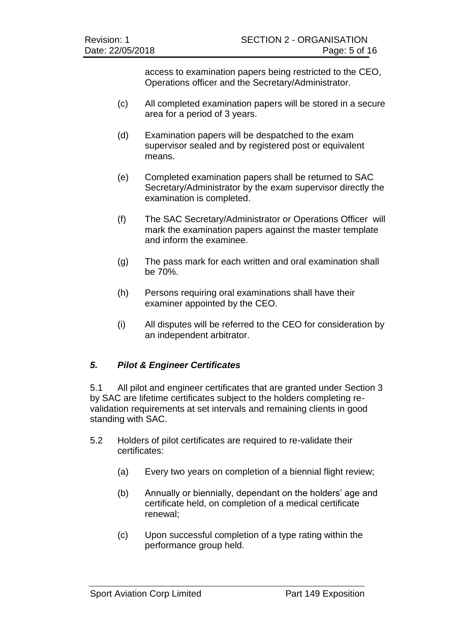access to examination papers being restricted to the CEO, Operations officer and the Secretary/Administrator.

- (c) All completed examination papers will be stored in a secure area for a period of 3 years.
- (d) Examination papers will be despatched to the exam supervisor sealed and by registered post or equivalent means.
- (e) Completed examination papers shall be returned to SAC Secretary/Administrator by the exam supervisor directly the examination is completed.
- (f) The SAC Secretary/Administrator or Operations Officer will mark the examination papers against the master template and inform the examinee.
- (g) The pass mark for each written and oral examination shall be 70%.
- (h) Persons requiring oral examinations shall have their examiner appointed by the CEO.
- (i) All disputes will be referred to the CEO for consideration by an independent arbitrator.

# *5. Pilot & Engineer Certificates*

5.1 All pilot and engineer certificates that are granted under Section 3 by SAC are lifetime certificates subject to the holders completing revalidation requirements at set intervals and remaining clients in good standing with SAC.

- 5.2 Holders of pilot certificates are required to re-validate their certificates:
	- (a) Every two years on completion of a biennial flight review;
	- (b) Annually or biennially, dependant on the holders' age and certificate held, on completion of a medical certificate renewal;
	- (c) Upon successful completion of a type rating within the performance group held.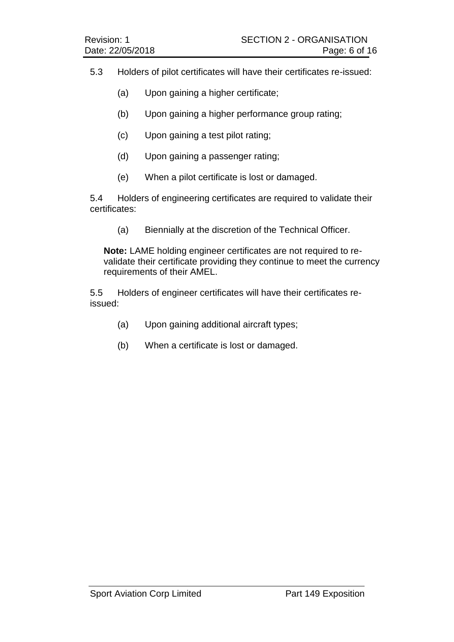- 5.3 Holders of pilot certificates will have their certificates re-issued:
	- (a) Upon gaining a higher certificate;
	- (b) Upon gaining a higher performance group rating;
	- (c) Upon gaining a test pilot rating;
	- (d) Upon gaining a passenger rating;
	- (e) When a pilot certificate is lost or damaged.

5.4 Holders of engineering certificates are required to validate their certificates:

(a) Biennially at the discretion of the Technical Officer.

**Note:** LAME holding engineer certificates are not required to revalidate their certificate providing they continue to meet the currency requirements of their AMEL.

5.5 Holders of engineer certificates will have their certificates reissued:

- (a) Upon gaining additional aircraft types;
- (b) When a certificate is lost or damaged.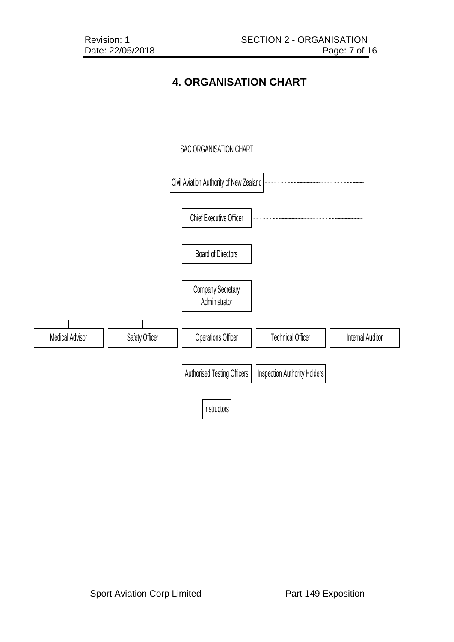# **4. ORGANISATION CHART**

# SAC ORGANISATION CHART

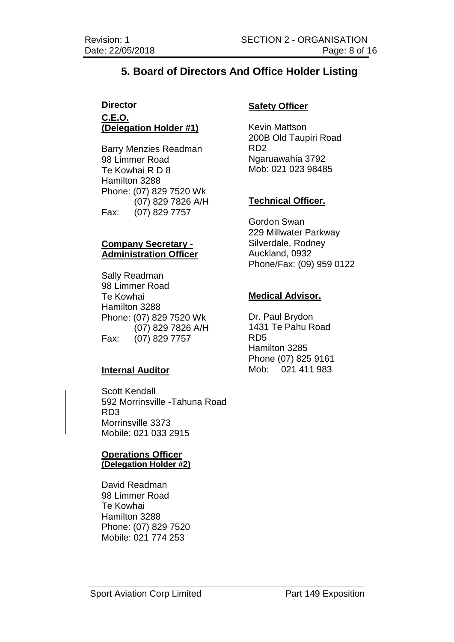# **5. Board of Directors And Office Holder Listing**

# **Director C.E.O. (Delegation Holder #1)**

Barry Menzies Readman 98 Limmer Road Te Kowhai R D 8 Hamilton 3288 Phone: (07) 829 7520 Wk (07) 829 7826 A/H Fax: (07) 829 7757

# **Company Secretary - Administration Officer**

Sally Readman 98 Limmer Road Te Kowhai Hamilton 3288 Phone: (07) 829 7520 Wk (07) 829 7826 A/H Fax: (07) 829 7757

# **Internal Auditor**

Scott Kendall 592 Morrinsville -Tahuna Road RD3 Morrinsville 3373 Mobile: 021 033 2915

#### **Operations Officer (Delegation Holder #2)**

David Readman 98 Limmer Road Te Kowhai Hamilton 3288 Phone: (07) 829 7520 Mobile: 021 774 253

# **Safety Officer**

Kevin Mattson 200B Old Taupiri Road RD2 Ngaruawahia 3792 Mob: 021 023 98485

# **Technical Officer.**

Gordon Swan 229 Millwater Parkway Silverdale, Rodney Auckland, 0932 Phone/Fax: (09) 959 0122

## **Medical Advisor.**

Dr. Paul Brydon 1431 Te Pahu Road RD5 Hamilton 3285 Phone (07) 825 9161 Mob: 021 411 983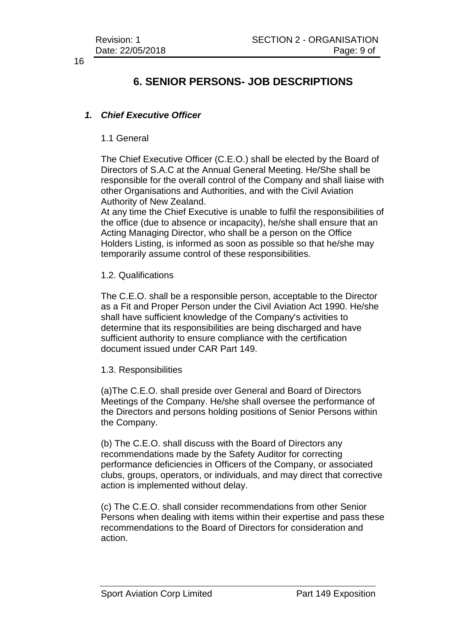# **6. SENIOR PERSONS- JOB DESCRIPTIONS**

# *1. Chief Executive Officer*

## 1.1 General

The Chief Executive Officer (C.E.O.) shall be elected by the Board of Directors of S.A.C at the Annual General Meeting. He/She shall be responsible for the overall control of the Company and shall liaise with other Organisations and Authorities, and with the Civil Aviation Authority of New Zealand.

At any time the Chief Executive is unable to fulfil the responsibilities of the office (due to absence or incapacity), he/she shall ensure that an Acting Managing Director, who shall be a person on the Office Holders Listing, is informed as soon as possible so that he/she may temporarily assume control of these responsibilities.

1.2. Qualifications

The C.E.O. shall be a responsible person, acceptable to the Director as a Fit and Proper Person under the Civil Aviation Act 1990. He/she shall have sufficient knowledge of the Company's activities to determine that its responsibilities are being discharged and have sufficient authority to ensure compliance with the certification document issued under CAR Part 149.

#### 1.3. Responsibilities

(a)The C.E.O. shall preside over General and Board of Directors Meetings of the Company. He/she shall oversee the performance of the Directors and persons holding positions of Senior Persons within the Company.

(b) The C.E.O. shall discuss with the Board of Directors any recommendations made by the Safety Auditor for correcting performance deficiencies in Officers of the Company, or associated clubs, groups, operators, or individuals, and may direct that corrective action is implemented without delay.

(c) The C.E.O. shall consider recommendations from other Senior Persons when dealing with items within their expertise and pass these recommendations to the Board of Directors for consideration and action.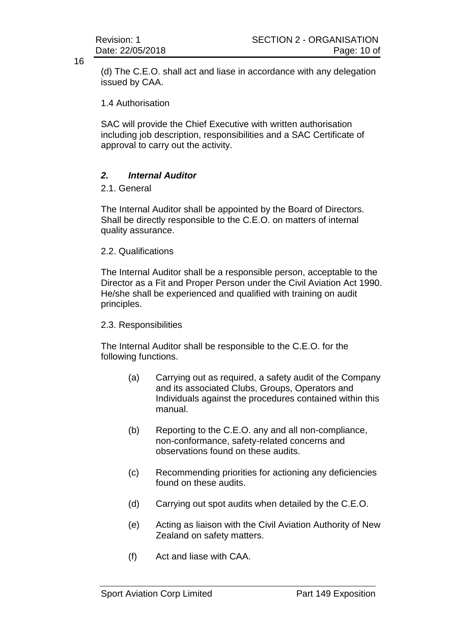(d) The C.E.O. shall act and liase in accordance with any delegation issued by CAA.

1.4 Authorisation

SAC will provide the Chief Executive with written authorisation including job description, responsibilities and a SAC Certificate of approval to carry out the activity.

# *2. Internal Auditor*

2.1. General

The Internal Auditor shall be appointed by the Board of Directors. Shall be directly responsible to the C.E.O. on matters of internal quality assurance.

2.2. Qualifications

The Internal Auditor shall be a responsible person, acceptable to the Director as a Fit and Proper Person under the Civil Aviation Act 1990. He/she shall be experienced and qualified with training on audit principles.

## 2.3. Responsibilities

The Internal Auditor shall be responsible to the C.E.O. for the following functions.

- (a) Carrying out as required, a safety audit of the Company and its associated Clubs, Groups, Operators and Individuals against the procedures contained within this manual.
- (b) Reporting to the C.E.O. any and all non-compliance, non-conformance, safety-related concerns and observations found on these audits.
- (c) Recommending priorities for actioning any deficiencies found on these audits.
- (d) Carrying out spot audits when detailed by the C.E.O.
- (e) Acting as liaison with the Civil Aviation Authority of New Zealand on safety matters.
- (f) Act and liase with CAA.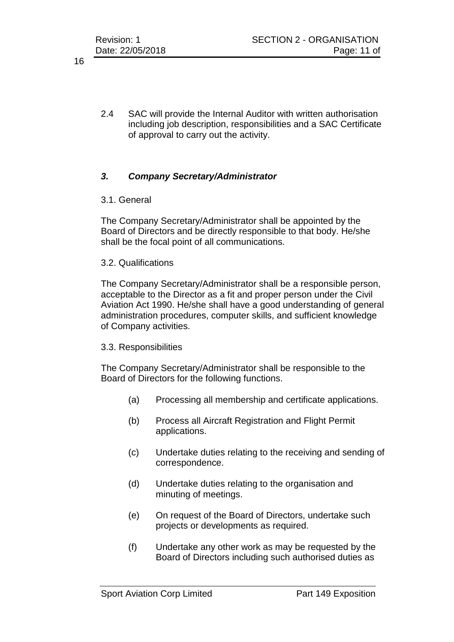2.4 SAC will provide the Internal Auditor with written authorisation including job description, responsibilities and a SAC Certificate of approval to carry out the activity.

# *3. Company Secretary/Administrator*

## 3.1. General

The Company Secretary/Administrator shall be appointed by the Board of Directors and be directly responsible to that body. He/she shall be the focal point of all communications.

## 3.2. Qualifications

The Company Secretary/Administrator shall be a responsible person, acceptable to the Director as a fit and proper person under the Civil Aviation Act 1990. He/she shall have a good understanding of general administration procedures, computer skills, and sufficient knowledge of Company activities.

## 3.3. Responsibilities

The Company Secretary/Administrator shall be responsible to the Board of Directors for the following functions.

- (a) Processing all membership and certificate applications.
- (b) Process all Aircraft Registration and Flight Permit applications.
- (c) Undertake duties relating to the receiving and sending of correspondence.
- (d) Undertake duties relating to the organisation and minuting of meetings.
- (e) On request of the Board of Directors, undertake such projects or developments as required.
- (f) Undertake any other work as may be requested by the Board of Directors including such authorised duties as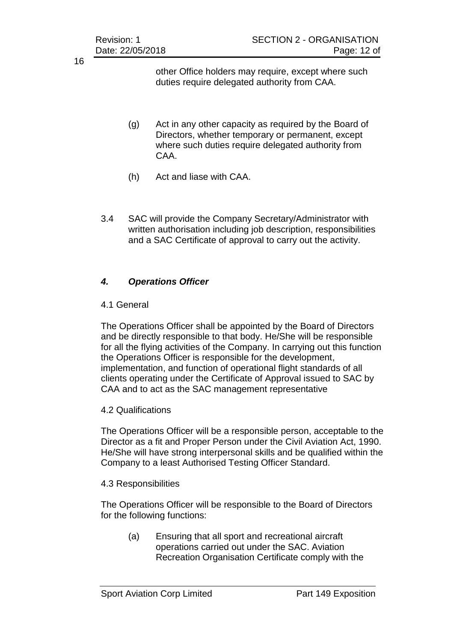other Office holders may require, except where such duties require delegated authority from CAA.

- (g) Act in any other capacity as required by the Board of Directors, whether temporary or permanent, except where such duties require delegated authority from CAA.
- (h) Act and liase with CAA.
- 3.4 SAC will provide the Company Secretary/Administrator with written authorisation including job description, responsibilities and a SAC Certificate of approval to carry out the activity.

# *4. Operations Officer*

## 4.1 General

The Operations Officer shall be appointed by the Board of Directors and be directly responsible to that body. He/She will be responsible for all the flying activities of the Company. In carrying out this function the Operations Officer is responsible for the development, implementation, and function of operational flight standards of all clients operating under the Certificate of Approval issued to SAC by CAA and to act as the SAC management representative

# 4.2 Qualifications

The Operations Officer will be a responsible person, acceptable to the Director as a fit and Proper Person under the Civil Aviation Act, 1990. He/She will have strong interpersonal skills and be qualified within the Company to a least Authorised Testing Officer Standard.

## 4.3 Responsibilities

The Operations Officer will be responsible to the Board of Directors for the following functions:

(a) Ensuring that all sport and recreational aircraft operations carried out under the SAC. Aviation Recreation Organisation Certificate comply with the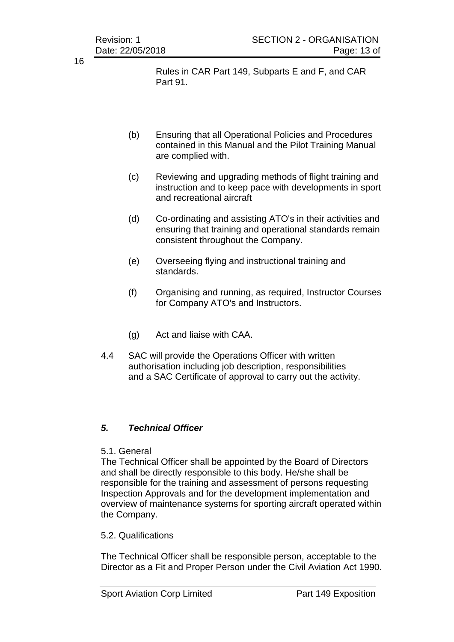Rules in CAR Part 149, Subparts E and F, and CAR Part 91.

- (b) Ensuring that all Operational Policies and Procedures contained in this Manual and the Pilot Training Manual are complied with.
- (c) Reviewing and upgrading methods of flight training and instruction and to keep pace with developments in sport and recreational aircraft
- (d) Co-ordinating and assisting ATO's in their activities and ensuring that training and operational standards remain consistent throughout the Company.
- (e) Overseeing flying and instructional training and standards.
- (f) Organising and running, as required, Instructor Courses for Company ATO's and Instructors.
- (g) Act and liaise with CAA.
- 4.4 SAC will provide the Operations Officer with written authorisation including job description, responsibilities and a SAC Certificate of approval to carry out the activity.

# *5. Technical Officer*

# 5.1. General

The Technical Officer shall be appointed by the Board of Directors and shall be directly responsible to this body. He/she shall be responsible for the training and assessment of persons requesting Inspection Approvals and for the development implementation and overview of maintenance systems for sporting aircraft operated within the Company.

## 5.2. Qualifications

The Technical Officer shall be responsible person, acceptable to the Director as a Fit and Proper Person under the Civil Aviation Act 1990.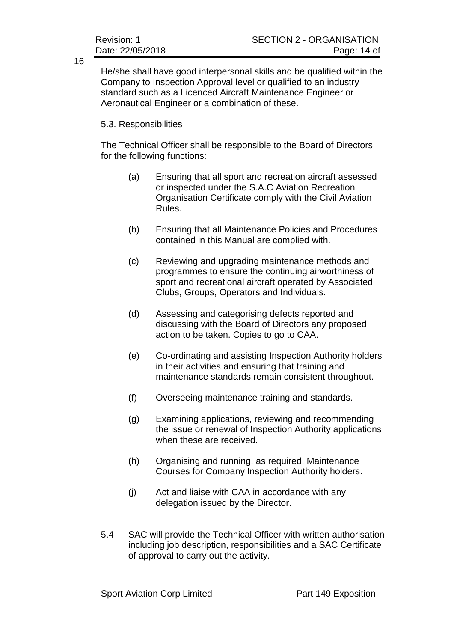He/she shall have good interpersonal skills and be qualified within the Company to Inspection Approval level or qualified to an industry standard such as a Licenced Aircraft Maintenance Engineer or Aeronautical Engineer or a combination of these.

## 5.3. Responsibilities

The Technical Officer shall be responsible to the Board of Directors for the following functions:

- (a) Ensuring that all sport and recreation aircraft assessed or inspected under the S.A.C Aviation Recreation Organisation Certificate comply with the Civil Aviation Rules.
- (b) Ensuring that all Maintenance Policies and Procedures contained in this Manual are complied with.
- (c) Reviewing and upgrading maintenance methods and programmes to ensure the continuing airworthiness of sport and recreational aircraft operated by Associated Clubs, Groups, Operators and Individuals.
- (d) Assessing and categorising defects reported and discussing with the Board of Directors any proposed action to be taken. Copies to go to CAA.
- (e) Co-ordinating and assisting Inspection Authority holders in their activities and ensuring that training and maintenance standards remain consistent throughout.
- (f) Overseeing maintenance training and standards.
- (g) Examining applications, reviewing and recommending the issue or renewal of Inspection Authority applications when these are received.
- (h) Organising and running, as required, Maintenance Courses for Company Inspection Authority holders.
- (j) Act and liaise with CAA in accordance with any delegation issued by the Director.
- 5.4 SAC will provide the Technical Officer with written authorisation including job description, responsibilities and a SAC Certificate of approval to carry out the activity.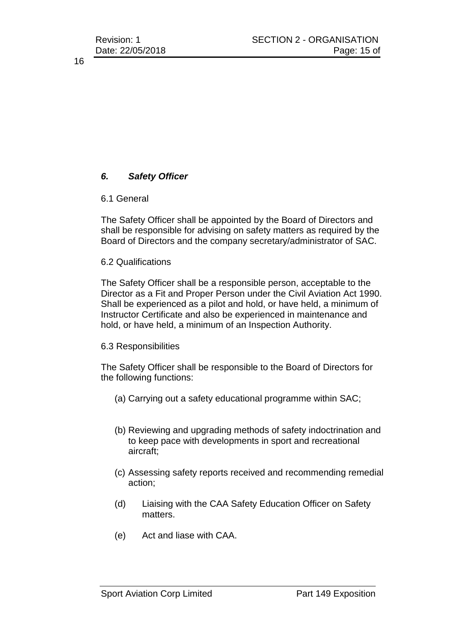# *6. Safety Officer*

## 6.1 General

The Safety Officer shall be appointed by the Board of Directors and shall be responsible for advising on safety matters as required by the Board of Directors and the company secretary/administrator of SAC.

## 6.2 Qualifications

The Safety Officer shall be a responsible person, acceptable to the Director as a Fit and Proper Person under the Civil Aviation Act 1990. Shall be experienced as a pilot and hold, or have held, a minimum of Instructor Certificate and also be experienced in maintenance and hold, or have held, a minimum of an Inspection Authority.

## 6.3 Responsibilities

The Safety Officer shall be responsible to the Board of Directors for the following functions:

- (a) Carrying out a safety educational programme within SAC;
- (b) Reviewing and upgrading methods of safety indoctrination and to keep pace with developments in sport and recreational aircraft;
- (c) Assessing safety reports received and recommending remedial action;
- (d) Liaising with the CAA Safety Education Officer on Safety matters.
- (e) Act and liase with CAA.